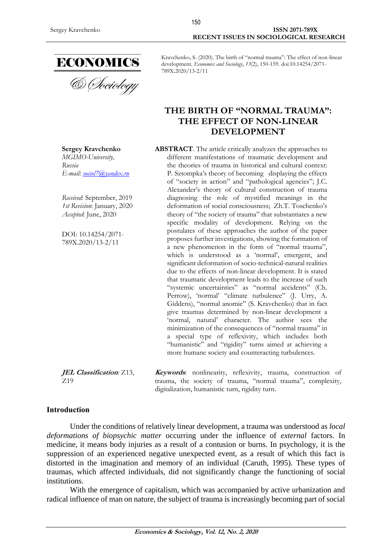

**Sergey Kravchenko** *MGIMO-University, Russia E-mail: [sociol7@yandex.ru](mailto:sociol7@yandex.ru)*

*Received*: September, 2019 *1st Revision*: January, 2020 *Accepted*: June, 2020

DOI: 10.14254/2071- 789X.2020/13-2/11

Kravchenko, S. (2020). The birth of "normal trauma": The effect of non-linear development. *Economics and Sociology*, *13*(2), 150-159. doi:10.14254/2071- 789X.2020/13-2/11

# **THE BIRTH OF "NORMAL TRAUMA": THE EFFECT OF NON-LINEAR DEVELOPMENT**

**ABSTRACT**. The article critically analyzes the approaches to different manifestations of traumatic development and the theories of trauma in historical and cultural context: P. Sztompka's theory of becoming displaying the effects of "society in action" and "pathological agencies"; J.C. Alexander's theory of cultural construction of trauma diagnosing the role of mystified meanings in the deformation of social consciousness; Zh.T. Toschenko's theory of "the society of trauma" that substantiates a new specific modality of development. Relying on the postulates of these approaches the author of the paper proposes further investigations, showing the formation of a new phenomenon in the form of "normal trauma", which is understood as a 'normal', emergent, and significant deformation of socio-technical-natural realities due to the effects of non-linear development. It is stated that traumatic development leads to the increase of such "systemic uncertainties" as "normal accidents" (Ch. Perrow), 'normal' "climate turbulence" (J. Urry, A. Giddens), "normal anomie" (S. Kravchenko) that in fact give traumas determined by non-linear development a 'normal, natural' character. The author sees the minimization of the consequences of "normal trauma" in a special type of reflexivity, which includes both "humanistic" and "rigidity" turns aimed at achieving a more humane society and counteracting turbulences.

**JEL Classification***:* Z13, Z19

**Keywords**: nonlinearity, reflexivity, trauma, construction of trauma, the society of trauma, "normal trauma", complexity, digitalization, humanistic turn, rigidity turn.

# **Introduction**

Under the conditions of relatively linear development, a trauma was understood as *local deformations of biopsychic matter* occurring under the influence of *external* factors. In medicine, it means body injuries as a result of a contusion or burns. In psychology, it is the suppression of an experienced negative unexpected event, as a result of which this fact is distorted in the imagination and memory of an individual (Caruth, 1995). These types of traumas, which affected individuals, did not significantly change the functioning of social institutions.

With the emergence of capitalism, which was accompanied by active urbanization and radical influence of man on nature, the subject of trauma is increasingly becoming part of social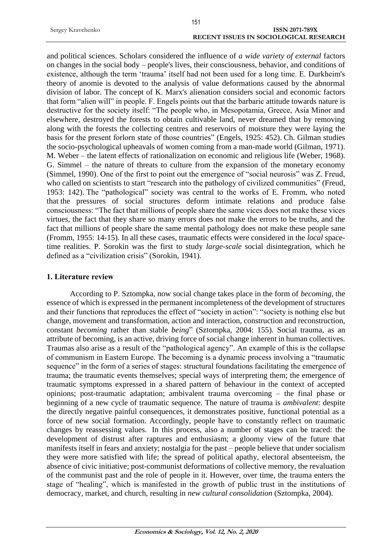|                   | 151                                           |                       |
|-------------------|-----------------------------------------------|-----------------------|
| Sergey Kravchenko |                                               | <b>ISSN 2071-789X</b> |
|                   | <b>RECENT ISSUES IN SOCIOLOGICAL RESEARCH</b> |                       |

and political sciences. Scholars considered the influence of *a wide variety of external* factors on changes in the social body – people's lives, their consciousness, behavior, and conditions of existence, although the term 'trauma' itself had not been used for a long time. E. Durkheim's theory of anomie is devoted to the analysis of value deformations caused by the abnormal division of labor. The concept of K. Marx's alienation considers social and economic factors that form "alien will" in people. F. Engels points out that the barbaric attitude towards nature is destructive for the society itself: "The people who, in Mesopotamia, Greece, Asia Minor and elsewhere, destroyed the forests to obtain cultivable land, never dreamed that by removing along with the forests the collecting centres and reservoirs of moisture they were laying the basis for the present forlorn state of those countries" (Engels, 1925: 452). Ch. Gilman studies the socio-psychological upheavals of women coming from a man-made world (Gilman, 1971). M. Weber – the latent effects of rationalization on economic and religious life (Weber, 1968). G. Simmel – the nature of threats to culture from the expansion of the monetary economy (Simmel, 1990). One of the first to point out the emergence of "social neurosis" was Z. Freud, who called on scientists to start "research into the pathology of civilized communities" (Freud, 1953: 142). The "pathological" society was central to the works of E. Fromm, who noted that the pressures of social structures deform intimate relations and produce false consciousness: "The fact that millions of people share the same vices does not make these vices virtues, the fact that they share so many errors does not make the errors to be truths, and the fact that millions of people share the same mental pathology does not make these people sane (Fromm, 1955: 14-15). In all these cases, traumatic effects were considered in the *local* spacetime realities. P. Sorokin was the first to study *large-scale* social disintegration, which he defined as a "civilization crisis" (Sorokin, 1941).

## **1. Literature review**

According to P. Sztompka, now social change takes place in the form of *becoming*, the essence of which is expressed in the permanent incompleteness of the development of structures and their functions that reproduces the effect of "society in action": "society is nothing else but change, movement and transformation, action and interaction, construction and reconstruction, constant *becoming* rather than stable *being*" (Sztompka, 2004: 155). Social trauma, as an attribute of becoming, is an active, driving force of social change inherent in human collectives. Traumas also arise as a result of the "pathological agency". An example of this is the collapse of communism in Eastern Europe. The becoming is a dynamic process involving a "traumatic sequence" in the form of a series of stages: structural foundations facilitating the emergence of trauma; the traumatic events themselves; special ways of interpreting them; the emergence of traumatic symptoms expressed in a shared pattern of behaviour in the context of accepted opinions; post-traumatic adaptation; ambivalent trauma overcoming – the final phase or beginning of a new cycle of traumatic sequence. The nature of trauma is *ambivalent*: despite the directly negative painful consequences, it demonstrates positive, functional potential as a force of new social formation. Accordingly, people have to constantly reflect on traumatic changes by reassessing values. In this process, also a number of stages can be traced: the development of distrust after raptures and enthusiasm; a gloomy view of the future that manifests itself in fears and anxiety; nostalgia for the past – people believe that under socialism they were more satisfied with life; the spread of political apathy, electoral absenteeism, the absence of civic initiative; post-communist deformations of collective memory, the revaluation of the communist past and the role of people in it. However, over time, the trauma enters the stage of "healing", which is manifested in the growth of public trust in the institutions of democracy, market, and church, resulting in *new cultural consolidation* (Sztompka, 2004).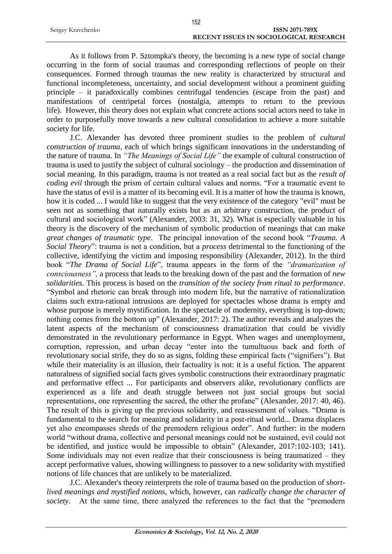|                   | 152                                           |
|-------------------|-----------------------------------------------|
| Sergey Kravchenko | ISSN 2071-789X                                |
|                   | <b>RECENT ISSUES IN SOCIOLOGICAL RESEARCH</b> |

As it follows from P. Sztompka's theory, the becoming is a new type of social change occurring in the form of social traumas and corresponding reflections of people on their consequences. Formed through traumas the new reality is characterized by structural and functional incompleteness, uncertainty, and social development without a prominent guiding principle – it paradoxically combines centrifugal tendencies (escape from the past) and manifestations of centripetal forces (nostalgia, attempts to return to the previous life). However, this theory does not explain what concrete actions social actors need to take in order to purposefully move towards a new cultural consolidation to achieve a more suitable society for life.

J.C. Alexander has devoted three prominent studies to the problem of *cultural construction of trauma*, each of which brings significant innovations in the understanding of the nature of trauma. In *"The Meanings of Social Life"* the example of cultural construction of trauma is used to justify the subject of cultural sociology – the production and dissemination of social meaning. In this paradigm, trauma is not treated as a real social fact but as the *result of coding evil* through the prism of certain cultural values and norms. "For a traumatic event to have the status of evil is a matter of its becoming evil. It is a matter of how the trauma is known, how it is coded ... I would like to suggest that the very existence of the category "evil" must be seen not as something that naturally exists but as an arbitrary construction, the product of cultural and sociological work" (Alexander, 2003: 31, 32). What is especially valuable in his theory is the discovery of the mechanism of symbolic production of meanings that can make *great changes of traumatic type*. The principal innovation of the second book "*Trauma. A Social Theory*": trauma is not a condition, but a *process* detrimental to the functioning of the collective, identifying the victim and imposing responsibility (Alexander, 2012). In the third book "*The Drama of Social Life*", trauma appears in the form of the *"dramatization of consciousness",* a process that leads to the breaking down of the past and the formation of *new solidarities*. This process is based on the *transition of the society from ritual to performance*. "Symbol and rhetoric can break through into modern life, but the narrative of rationalization claims such extra-rational intrusions are deployed for spectacles whose drama is empty and whose purpose is merely mystification. In the spectacle of modernity, everything is top-down; nothing comes from the bottom up" (Alexander, 2017: 2). The author reveals and analyzes the latent aspects of the mechanism of consciousness dramatization that could be vividly demonstrated in the revolutionary performance in Egypt. When wages and unemployment, corruption, repression, and urban decay "enter into the tumultuous back and forth of revolutionary social strife, they do so as signs, folding these empirical facts ("signifiers"). But while their materiality is an illusion, their factuality is not: it is a useful fiction. The apparent naturalness of signified social facts gives symbolic constructions their extraordinary pragmatic and performative effect ... For participants and observers alike, revolutionary conflicts are experienced as a life and death struggle between not just social groups but social representations, one representing the sacred, the other the profane" (Alexander, 2017: 40, 46). The result of this is giving up the previous solidarity, and reassessment of values. "Drama is fundamental to the search for meaning and solidarity in a post-ritual world... Drama displaces yet also encompasses shreds of the premodern religious order". And further: in the modern world "without drama, collective and personal meanings could not be sustained, evil could not be identified, and justice would be impossible to obtain" (Alexander, 2017:102-103; 141). Some individuals may not even realize that their consciousness is being traumatized – they accept performative values, showing willingness to passover to a new solidarity with mystified notions of life chances that are unlikely to be materialized.

J.C. Alexander's theory reinterprets the role of trauma based on the production of *shortlived meanings and mystified notions*, which, however, can *radically change the character of society*. At the same time, there analyzed the references to the fact that the "premodern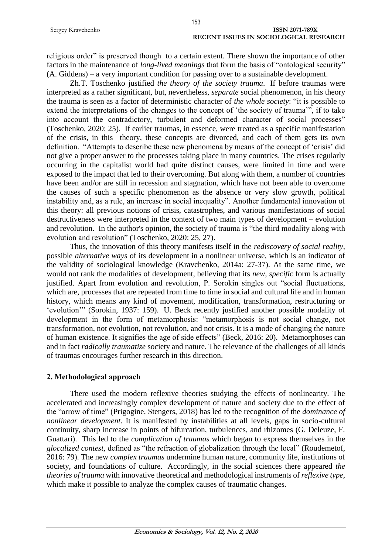|                   | 153                                           |
|-------------------|-----------------------------------------------|
| Sergey Kravchenko | <b>ISSN 2071-789X</b>                         |
|                   | <b>RECENT ISSUES IN SOCIOLOGICAL RESEARCH</b> |

religious order" is preserved though to a certain extent. There shown the importance of other factors in the maintenance of *long-lived meanings* that form the basis of "ontological security" (A. Giddens) – a very important condition for passing over to a sustainable development.

Zh.T. Toschenko justified *the theory of the society trauma*. If before traumas were interpreted as a rather significant, but, nevertheless, *separate* social phenomenon, in his theory the trauma is seen as a factor of deterministic character of *the whole society*: "it is possible to extend the interpretations of the changes to the concept of 'the society of trauma'", if to take into account the contradictory, turbulent and deformed character of social processes" (Toschenko, 2020: 25). If earlier traumas, in essence, were treated as a specific manifestation of the crisis, in this theory, these concepts are divorced, and each of them gets its own definition. "Attempts to describe these new phenomena by means of the concept of 'crisis' did not give a proper answer to the processes taking place in many countries. The crises regularly occurring in the capitalist world had quite distinct causes, were limited in time and were exposed to the impact that led to their overcoming. But along with them, a number of countries have been and/or are still in recession and stagnation, which have not been able to overcome the causes of such a specific phenomenon as the absence or very slow growth, political instability and, as a rule, an increase in social inequality". Another fundamental innovation of this theory: all previous notions of crisis, catastrophes, and various manifestations of social destructiveness were interpreted in the context of two main types of development – evolution and revolution. In the author's opinion, the society of trauma is "the third modality along with evolution and revolution" (Toschenko, 2020: 25, 27).

Thus, the innovation of this theory manifests itself in the *rediscovery of social reality*, possible *alternative ways* of its development in a nonlinear universe, which is an indicator of the validity of sociological knowledge (Kravchenko, 2014a: 27-37). At the same time, we would not rank the modalities of development, believing that its *new, specific* form is actually justified. Apart from evolution and revolution, P. Sorokin singles out "social fluctuations, which are, processes that are repeated from time to time in social and cultural life and in human history, which means any kind of movement, modification, transformation, restructuring or 'evolution'" (Sorokin, 1937: 159). U. Beck recently justified another possible modality of development in the form of metamorphosis: "metamorphosis is not social change, not transformation, not evolution, not revolution, and not crisis. It is a mode of changing the nature of human existence. It signifies the age of side effects" (Beck, 2016: 20). Metamorphoses can and in fact *radically traumatize* society and nature. The relevance of the challenges of all kinds of traumas encourages further research in this direction.

### **2. Methodological approach**

There used the modern reflexive theories studying the effects of nonlinearity. The accelerated and increasingly complex development of nature and society due to the effect of the "arrow of time" (Prigogine, Stengers, 2018) has led to the recognition of the *dominance of nonlinear development*. It is manifested by instabilities at all levels, gaps in socio-cultural continuity, sharp increase in points of bifurcation, turbulences, and rhizomes (G. Deleuze, F. Guattari). This led to the *complication of traumas* which began to express themselves in the *glocalized contest,* defined as "the refraction of globalization through the local" (Roudemetof, 2016: 79). The new *complex traumas* undermine human nature, community life, institutions of society, and foundations of culture. Accordingly, in the social sciences there appeared *the theories of trauma* with innovative theoretical and methodological instruments of *reflexive type*, which make it possible to analyze the complex causes of traumatic changes.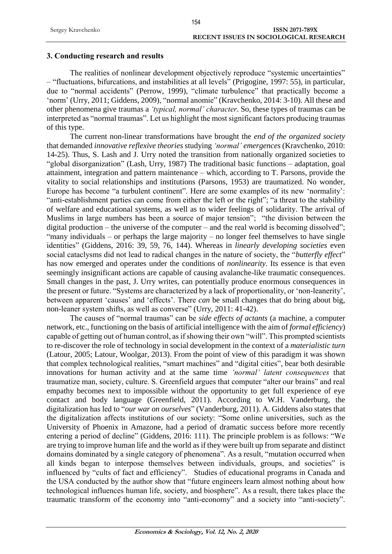#### **3. Conducting research and results**

The realities of nonlinear development objectively reproduce "systemic uncertainties" – "fluctuations, bifurcations, and instabilities at all levels" (Prigogine, 1997: 55), in particular, due to "normal accidents" (Perrow, 1999), "climate turbulence" that practically become a 'norm' (Urry, 2011; Giddens, 2009), "normal anomie" (Kravchenko, 2014: 3-10). All these and other phenomena give traumas a *'typical, normal' character*. So, these types of traumas can be interpreted as "normal traumas". Let us highlight the most significant factors producing traumas of this type.

The current non-linear transformations have brought the *end of the organized society* that demanded *innovative reflexive theories* studying *'normal' emergences* (Kravchenko, 2010: 14-25). Thus, S. Lash and J. Urry noted the transition from nationally organized societies to "global disorganization" (Lash, Urry, 1987) The traditional basic functions – adaptation, goal attainment, integration and pattern maintenance – which, according to T. Parsons, provide the vitality to social relationships and institutions (Parsons, 1953) are traumatized. No wonder, Europe has become "a turbulent continent". Here are some examples of its new 'normality': "anti-establishment parties can come from either the left or the right"; "a threat to the stability of welfare and educational systems, as well as to wider feelings of solidarity. The arrival of Muslims in large numbers has been a source of major tension"; "the division between the digital production – the universe of the computer – and the real world is becoming dissolved"; "many individuals – or perhaps the large majority – no longer feel themselves to have single identities" (Giddens, 2016: 39, 59, 76, 144). Whereas in *linearly developing societies* even social cataclysms did not lead to radical changes in the nature of society, the "*butterfly effect*" has now emerged and operates under the conditions of *nonlinearity*. Its essence is that even seemingly insignificant actions are capable of causing avalanche-like traumatic consequences. Small changes in the past, J. Urry writes, can potentially produce enormous consequences in the present or future. "Systems are characterized by a lack of proportionality, or 'non-leanerity', between apparent 'causes' and 'effects'. There *can* be small changes that do bring about big, non-leaner system shifts, as well as converse" (Urry, 2011: 41-42).

The causes of "normal traumas" can be *side effects of actants* (a machine, a computer network, etc., functioning on the basis of artificial intelligence with the aim of *formal efficiency*) capable of getting out of human control, as if showing their own "will". This prompted scientists to re-discover the role of technology in social development in the context of a *materialistic turn* (Latour, 2005; Latour, Woolgar, 2013). From the point of view of this paradigm it was shown that complex technological realities, "smart machines" and "digital cities", bear both desirable innovations for human activity and at the same time *'normal' latent consequences* that traumatize man, society, culture. S. Greenfield argues that computer "alter our brains" and real empathy becomes next to impossible without the opportunity to get full experience of eye contact and body language (Greenfield, 2011). According to W.H. Vanderburg, the digitalization has led to "*our war on ourselves*" (Vanderburg, 2011). A. Giddens also states that the digitalization affects institutions of our society: "Some online universities, such as the University of Phoenix in Amazone, had a period of dramatic success before more recently entering a period of decline" (Giddens, 2016: 111). The principle problem is as follows: "We are trying to improve human life and the world as if they were built up from separate and distinct domains dominated by a single category of phenomena". As a result, "mutation occurred when all kinds began to interpose themselves between individuals, groups, and societies" is influenced by "cults of fact and efficiency". Studies of educational programs in Canada and the USA conducted by the author show that "future engineers learn almost nothing about how technological influences human life, society, and biosphere". As a result, there takes place the traumatic transform of the economy into "anti-economy" and a society into "anti-society".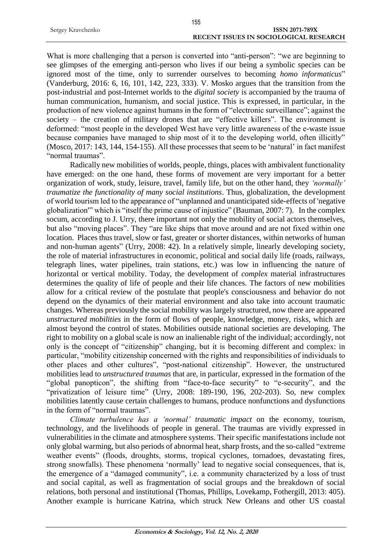|                   | 155                                    |
|-------------------|----------------------------------------|
| Sergey Kravchenko | ISSN 2071-789X                         |
|                   | RECENT ISSUES IN SOCIOLOGICAL RESEARCH |

What is more challenging that a person is converted into "anti-person": "we are beginning to see glimpses of the emerging anti-person who lives if our being a symbolic species can be ignored most of the time, only to surrender ourselves to becoming *homo informaticus*" (Vanderburg, 2016: 6, 16, 101, 142, 223, 333). V. Mosko argues that the transition from the post-industrial and post-Internet worlds to the *digital society* is accompanied by the trauma of human communication, humanism, and social justice. This is expressed, in particular, in the production of new violence against humans in the form of "electronic surveillance"; against the society – the creation of military drones that are "effective killers". The environment is deformed: "most people in the developed West have very little awareness of the e-waste issue because companies have managed to ship most of it to the developing world, often illicitly" (Mosco, 2017: 143, 144, 154-155). All these processes that seem to be 'natural' in fact manifest "normal traumas".

Radically new mobilities of worlds, people, things, places with ambivalent functionality have emerged: on the one hand, these forms of movement are very important for a better organization of work, study, leisure, travel, family life, but on the other hand, they *'normally' traumatize the functionality of many social institutions*. Thus, globalization, the development of world tourism led to the appearance of "unplanned and unanticipated side-effects of 'negative globalization'" which is "itself the prime cause of injustice" (Bauman, 2007: 7). In the complex socum, according to J. Urry, there important not only the mobility of social actors themselves, but also "moving places". They "are like ships that move around and are not fixed within one location. Places thus travel, slow or fast, greater or shorter distances, within networks of human and non-human agents" (Urry, 2008: 42). In a relatively simple, linearly developing society, the role of material infrastructures in economic, political and social daily life (roads, railways, telegraph lines, water pipelines, train stations, etc.) was low in influencing the nature of horizontal or vertical mobility. Today, the development of *complex* material infrastructures determines the quality of life of people and their life chances. The factors of new mobilities allow for a critical review of the postulate that people's consciousness and behavior do not depend on the dynamics of their material environment and also take into account traumatic changes. Whereas previously the social mobility was largely structured, now there are appeared *unstructured mobilities* in the form of flows of people, knowledge, money, risks, which are almost beyond the control of states. Mobilities outside national societies are developing. The right to mobility on a global scale is now an inalienable right of the individual; accordingly, not only is the concept of "citizenship" changing, but it is becoming different and complex: in particular, "mobility citizenship concerned with the rights and responsibilities of individuals to other places and other cultures", "post-national citizenship". However, the unstructured mobilities lead to *unstructured traumas* that are, in particular, expressed in the formation of the "global panopticon", the shifting from "face-to-face security" to "e-security", and the "privatization of leisure time" (Urry, 2008: 189-190, 196, 202-203). So, new complex mobilities latently cause certain challenges to humans, produce nonfunctions and dysfunctions in the form of "normal traumas".

*Climate turbulence has a 'normal' traumatic impact* on the economy, tourism, technology, and the livelihoods of people in general. The traumas are vividly expressed in vulnerabilities in the climate and atmosphere systems. Their specific manifestations include not only global warming, but also periods of abnormal heat, sharp frosts, and the so-called "extreme weather events" (floods, droughts, storms, tropical cyclones, tornadoes, devastating fires, strong snowfalls). These phenomena 'normally' lead to negative social consequences, that is, the emergence of a "damaged community", i.e. a community characterized by a loss of trust and social capital, as well as fragmentation of social groups and the breakdown of social relations, both personal and institutional (Thomas, Phillips, Lovekamp, Fothergill, 2013: 405). Another example is hurricane Katrina, which struck New Orleans and other US coastal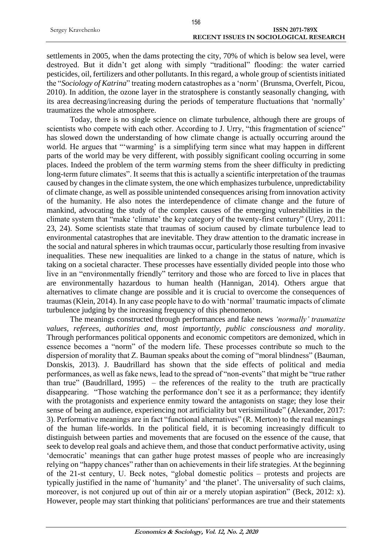|                   | $\sim$                                 |
|-------------------|----------------------------------------|
| Sergey Kravchenko | <b>ISSN 2071-789X</b>                  |
|                   | RECENT ISSUES IN SOCIOLOGICAL RESEARCH |
|                   |                                        |

156

settlements in 2005, when the dams protecting the city, 70% of which is below sea level, were destroyed. But it didn't get along with simply "traditional" flooding: the water carried pesticides, oil, fertilizers and other pollutants. In this regard, a whole group of scientists initiated the "*Sociology of Katrina*" treating modern catastrophes as a 'norm' (Brunsma, Overfelt, Picou, 2010). In addition, the ozone layer in the stratosphere is constantly seasonally changing, with its area decreasing/increasing during the periods of temperature fluctuations that 'normally' traumatizes the whole atmosphere.

Today, there is no single science on climate turbulence, although there are groups of scientists who compete with each other. According to J. Urry, "this fragmentation of science" has slowed down the understanding of how climate change is actually occurring around the world. He argues that "'warming' is a simplifying term since what may happen in different parts of the world may be very different, with possibly significant cooling occurring in some places. Indeed the problem of the term *warming* stems from the sheer difficulty in predicting long-term future climates". It seems that this is actually a scientific interpretation of the traumas caused by changes in the climate system, the one which emphasizes turbulence, unpredictability of climate change, as well as possible unintended consequences arising from innovation activity of the humanity. He also notes the interdependence of climate change and the future of mankind, advocating the study of the complex causes of the emerging vulnerabilities in the climate system that "make 'climate' the key category of the twenty-first century" (Urry, 2011: 23, 24). Some scientists state that traumas of socium caused by climate turbulence lead to environmental catastrophes that are inevitable. They draw attention to the dramatic increase in the social and natural spheres in which traumas occur, particularly those resulting from invasive inequalities. These new inequalities are linked to a change in the status of nature, which is taking on a societal character. These processes have essentially divided people into those who live in an "environmentally friendly" territory and those who are forced to live in places that are environmentally hazardous to human health (Hannigan, 2014). Others argue that alternatives to climate change are possible and it is crucial to overcome the consequences of traumas (Klein, 2014). In any case people have to do with 'normal' traumatic impacts of climate turbulence judging by the increasing frequency of this phenomenon.

The meanings constructed through performances and fake news *'normally' traumatize values, referees, authorities and, most importantly, public consciousness and morality*. Through performances political opponents and economic competitors are demonized, which in essence becomes a "norm" of the modern life. These processes contribute so much to the dispersion of morality that Z. Bauman speaks about the coming of "moral blindness" (Bauman, Donskis, 2013). J. Baudrillard has shown that the side effects of political and media performances, as well as fake news, lead to the spread of "non-events" that might be "true rather than true" (Baudrillard, 1995) – the references of the reality to the truth are practically disappearing. "Those watching the performance don't see it as a performance; they identify with the protagonists and experience enmity toward the antagonists on stage; they lose their sense of being an audience, experiencing not artificiality but verisimilitude" (Alexander, 2017: 3). Performative meanings are in fact "functional alternatives" (R. Merton) to the real meanings of the human life-worlds. In the political field, it is becoming increasingly difficult to distinguish between parties and movements that are focused on the essence of the cause, that seek to develop real goals and achieve them, and those that conduct performative activity, using 'democratic' meanings that can gather huge protest masses of people who are increasingly relying on "happy chances" rather than on achievements in their life strategies. At the beginning of the 21-st century, U. Beck notes, "global domestic politics – protests and projects are typically justified in the name of 'humanity' and 'the planet'. The universality of such claims, moreover, is not conjured up out of thin air or a merely utopian aspiration" (Beck, 2012: x). However, people may start thinking that politicians' performances are true and their statements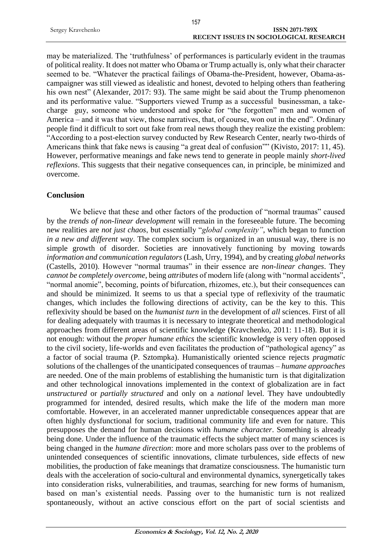|                   | 157                                           |  |
|-------------------|-----------------------------------------------|--|
| Sergey Kravchenko | ISSN 2071-789X                                |  |
|                   | <b>RECENT ISSUES IN SOCIOLOGICAL RESEARCH</b> |  |

may be materialized. The 'truthfulness' of performances is particularly evident in the traumas of political reality. It does not matter who Obama or Trump actually is, only what their character seemed to be. "Whatever the practical failings of Obama-the-President, however, Obama-ascampaigner was still viewed as idealistic and honest, devoted to helping others than feathering his own nest" (Alexander, 2017: 93). The same might be said about the Trump phenomenon and its performative value. "Supporters viewed Trump as a successful businessman, a takecharge guy, someone who understood and spoke for "the forgotten" men and women of America – and it was that view, those narratives, that, of course, won out in the end". Ordinary people find it difficult to sort out fake from real news though they realize the existing problem: "According to a post-election survey conducted by Rew Research Center, nearly two-thirds of Americans think that fake news is causing "a great deal of confusion"" (Kivisto, 2017: 11, 45). However, performative meanings and fake news tend to generate in people mainly *short-lived reflexions*. This suggests that their negative consequences can, in principle, be minimized and overcome.

### **Conclusion**

We believe that these and other factors of the production of "normal traumas" caused by the *trends of non-linear development* will remain in the foreseeable future. The becoming new realities are *not just chaos*, but essentially "*global complexity"*, which began to function *in a new and different way*. The complex socium is organized in an unusual way, there is no simple growth of disorder. Societies are innovatively functioning by moving towards *information and communication regulators* (Lash, Urry, 1994), and by creating *global networks* (Castells, 2010). However "normal traumas" in their essence are *non-linear changes*. They *cannot be completely overcome*, being *attributes* of modern life (along with "normal accidents", "normal anomie", becoming, points of bifurcation, rhizomes, etc.), but their consequences can and should be minimized. It seems to us that a special type of reflexivity of the traumatic changes, which includes the following directions of activity, can be the key to this. This reflexivity should be based on the *humanist turn* in the development of *all* sciences. First of all for dealing adequately with traumas it is necessary to integrate theoretical and methodological approaches from different areas of scientific knowledge (Kravchenko, 2011: 11-18). But it is not enough: without the *proper humane ethics* the scientific knowledge is very often opposed to the civil society, life-worlds and even facilitates the production of "pathological agency" as a factor of social trauma (P. Sztompka). Humanistically oriented science rejects *pragmatic* solutions of the challenges of the unanticipated consequences of traumas – *humane approaches* are needed. One of the main problems of establishing the humanistic turn is that digitalization and other technological innovations implemented in the context of globalization are in fact *unstructured* or *partially structured* and only on a *national* level. They have undoubtedly programmed for intended, desired results, which make the life of the modern man more comfortable. However, in an accelerated manner unpredictable consequences appear that are often highly dysfunctional for socium, traditional community life and even for nature. This presupposes the demand for human decisions with *humane character*. Something is already being done. Under the influence of the traumatic effects the subject matter of many sciences is being changed in the *humane direction*: more and more scholars pass over to the problems of unintended consequences of scientific innovations, climate turbulences, side effects of new mobilities, the production of fake meanings that dramatize consciousness. The humanistic turn deals with the acceleration of socio-cultural and environmental dynamics, synergetically takes into consideration risks, vulnerabilities, and traumas, searching for new forms of humanism, based on man's existential needs. Passing over to the humanistic turn is not realized spontaneously, without an active conscious effort on the part of social scientists and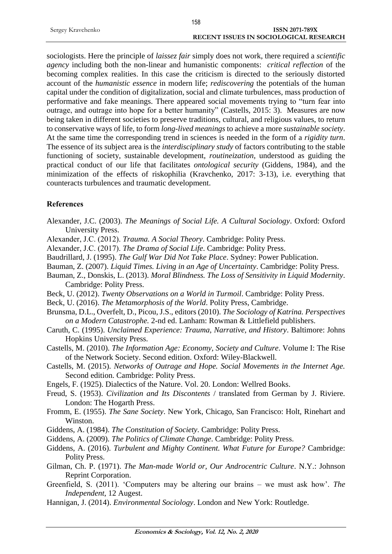|                   | 158                                           |
|-------------------|-----------------------------------------------|
| Sergey Kravchenko | <b>ISSN 2071-789X</b>                         |
|                   | <b>RECENT ISSUES IN SOCIOLOGICAL RESEARCH</b> |

sociologists. Here the principle of *laissez fair* simply does not work, there required a *scientific agency* including both the non-linear and humanistic components: *critical reflection* of the becoming complex realities. In this case the criticism is directed to the seriously distorted account of the *humanistic essence* in modern life; *rediscovering* the potentials of the human capital under the condition of digitalization, social and climate turbulences, mass production of performative and fake meanings. There appeared social movements trying to "turn fear into outrage, and outrage into hope for a better humanity" (Castells, 2015: 3). Measures are now being taken in different societies to preserve traditions, cultural, and religious values, to return to conservative ways of life, to form *long-lived meanings* to achieve a more *sustainable society*. At the same time the corresponding trend in sciences is needed in the form of a *rigidity turn*. The essence of its subject area is the *interdisciplinary study* of factors contributing to the stable functioning of society, sustainable development, *routineization*, understood as guiding the practical conduct of our life that facilitates *ontological security* (Giddens, 1984), and the minimization of the effects of riskophilia (Kravchenko, 2017: 3-13), i.e. everything that counteracts turbulences and traumatic development.

#### **References**

- Alexander, J.C. (2003). *The Meanings of Social Life. A Cultural Sociology*. Oxford: Oxford University Press.
- Alexander, J.С. (2012). *Trauma. A Social Theory*. Cambridge: Polity Press.
- Alexander, J.С. (2017). *The Drama of Social Life*. Cambridge: Polity Press.
- Baudrillard, J. (1995). *The Gulf War Did Not Take Place*. Sydney: Power Publication.
- Bauman, Z. (2007). *Liquid Times. Living in an Age of Uncertainty*. Cambridge: Polity Press.
- Bauman, Z., Donskis, L. (2013). *Moral Blindness. The Loss of Sensitivity in Liquid Modernity*. Cambridge: Polity Press.
- Beck, U. (2012). *Twenty Observations on a World in Turmoil*. Cambridge: Polity Press.
- Beck, U. (2016). *The Metamorphosis of the World*. Polity Press, Cambridge.
- Brunsma, D.L., Overfelt, D., Picou, J.S., editors (2010). *The Sociology of Katrina. Perspectives on a Modern Catastrophe.* 2-nd ed. Lanham: Rowman & Littlefield publishers.
- Caruth, C. (1995). *Unclaimed Experience: Trauma, Narrative, and History*. Baltimore: Johns Hopkins University Press.
- Castells, M. (2010). *The Information Age: Economy, Society and Culture*. Volume I: The Rise of the Network Society. Second edition. Oxford: Wiley-Blackwell.
- Castells, M. (2015). *Networks of Outrage and Hope. Social Movements in the Internet Age.*  Second edition. Cambridge: Polity Press.
- Engels, F. (1925). Dialectics of the Nature. Vol. 20. London: Wellred Books.
- Freud, S. (1953). *Civilization and Its Discontents* / translated from German by J. Riviere. London: The Hogarth Press.
- Fromm, E. (1955). *The Sane Society*. New York, Chicago, San Francisco: Holt, Rinehart and Winston.
- Giddens, A. (1984). *The Constitution of Society*. Cambridge: Polity Press.
- Giddens, A. (2009). *The Politics of Climate Change*. Cambridge: Polity Press.
- Giddens, A. (2016). *Turbulent and Mighty Continent. What Future for Europe?* Cambridge: Polity Press.
- Gilman, Ch. P. (1971). *The Man-made World or, Our Androcentric Culture*. N.Y.: Johnson Reprint Corporation.
- Greenfield, S. (2011). 'Computers may be altering our brains we must ask how'. *The Independent*, 12 Augest.
- Hannigan, J. (2014). *Environmental Sociology*. London and New York: Routledge.